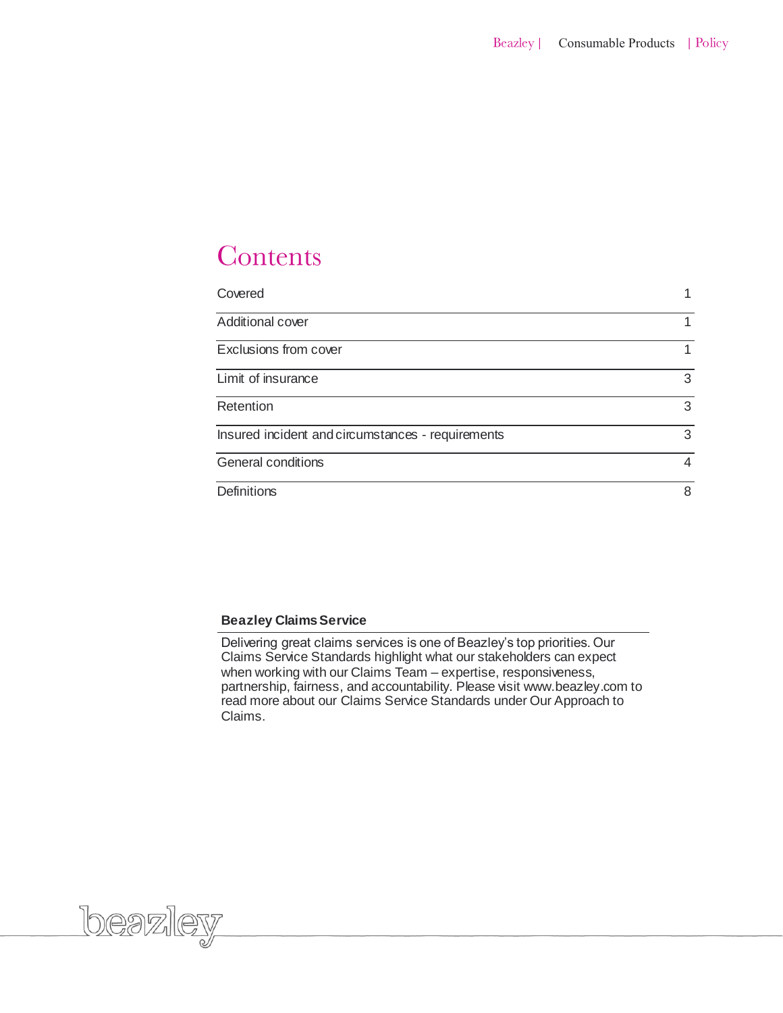# Contents

| Covered                                           |                |
|---------------------------------------------------|----------------|
| Additional cover                                  |                |
| Exclusions from cover                             |                |
| Limit of insurance                                | 3              |
| Retention                                         | 3              |
| Insured incident and circumstances - requirements | 3              |
| General conditions                                | $\overline{4}$ |
| <b>Definitions</b>                                | 8              |

### **Beazley Claims Service**

loeazley

Delivering great claims services is one of Beazley's top priorities. Our Claims Service Standards highlight what our stakeholders can expect when working with our Claims Team – expertise, responsiveness, partnership, fairness, and accountability. Please visit www.beazley.com to read more about our Claims Service Standards under Our Approach to Claims.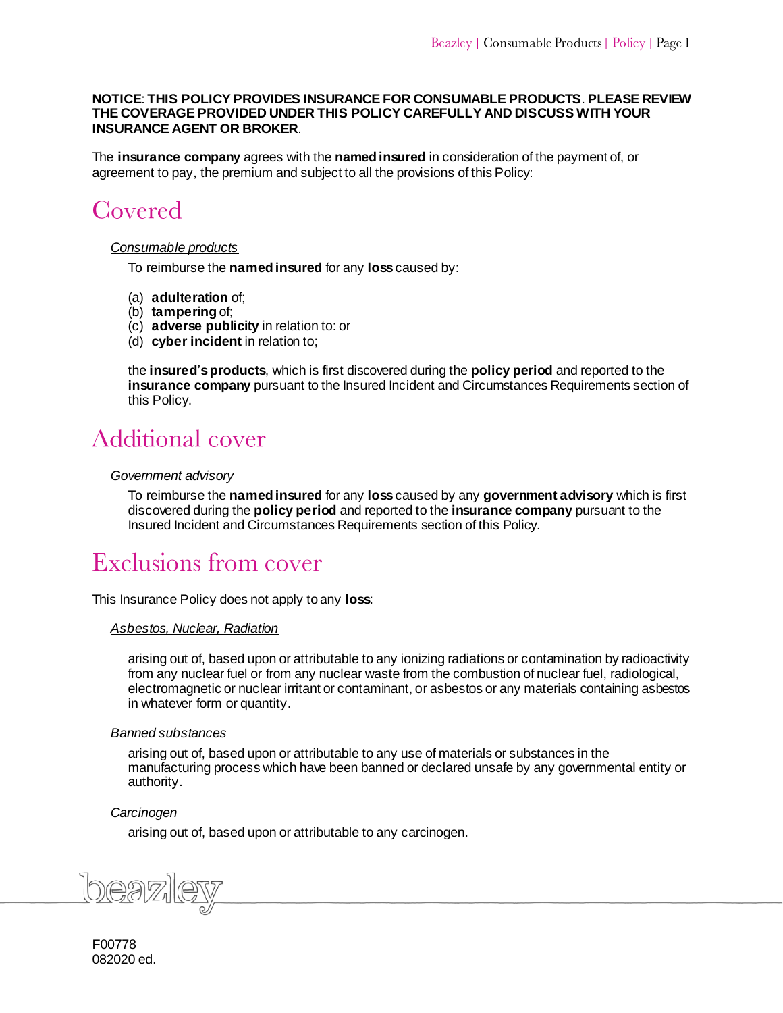#### **NOTICE**: **THIS POLICY PROVIDES INSURANCE FOR CONSUMABLE PRODUCTS**. **PLEASE REVIEW THE COVERAGE PROVIDED UNDER THIS POLICY CAREFULLY AND DISCUSS WITH YOUR INSURANCE AGENT OR BROKER**.

The **insurance company** agrees with the **named insured** in consideration of the payment of, or agreement to pay, the premium and subject to all the provisions of this Policy:

# <span id="page-1-0"></span>Covered

# *Consumable products*

To reimburse the **named insured** for any **loss** caused by:

- (a) **adulteration** of;
- (b) **tampering** of;
- (c) **adverse publicity** in relation to: or
- (d) **cyber incident** in relation to;

the **insured**'**s products**, which is first discovered during the **policy period** and reported to the **insurance company** pursuant to the Insured Incident and Circumstances Requirements section of this Policy.

# <span id="page-1-1"></span>**Additional cover**

# <span id="page-1-2"></span>*Government advisory*

To reimburse the **named insured** for any **loss** caused by any **government advisory** which is first discovered during the **policy period** and reported to the **insurance company** pursuant to the Insured Incident and Circumstances Requirements section of this Policy.

# Exclusions from cover

This Insurance Policy does not apply to any **loss**:

#### *Asbestos, Nuclear, Radiation*

arising out of, based upon or attributable to any ionizing radiations or contamination by radioactivity from any nuclear fuel or from any nuclear waste from the combustion of nuclear fuel, radiological, electromagnetic or nuclear irritant or contaminant, or asbestos or any materials containing asbestos in whatever form or quantity.

#### *Banned substances*

arising out of, based upon or attributable to any use of materials or substances in the manufacturing process which have been banned or declared unsafe by any governmental entity or authority.

# *Carcinogen*

arising out of, based upon or attributable to any carcinogen.

F00778 082020 ed.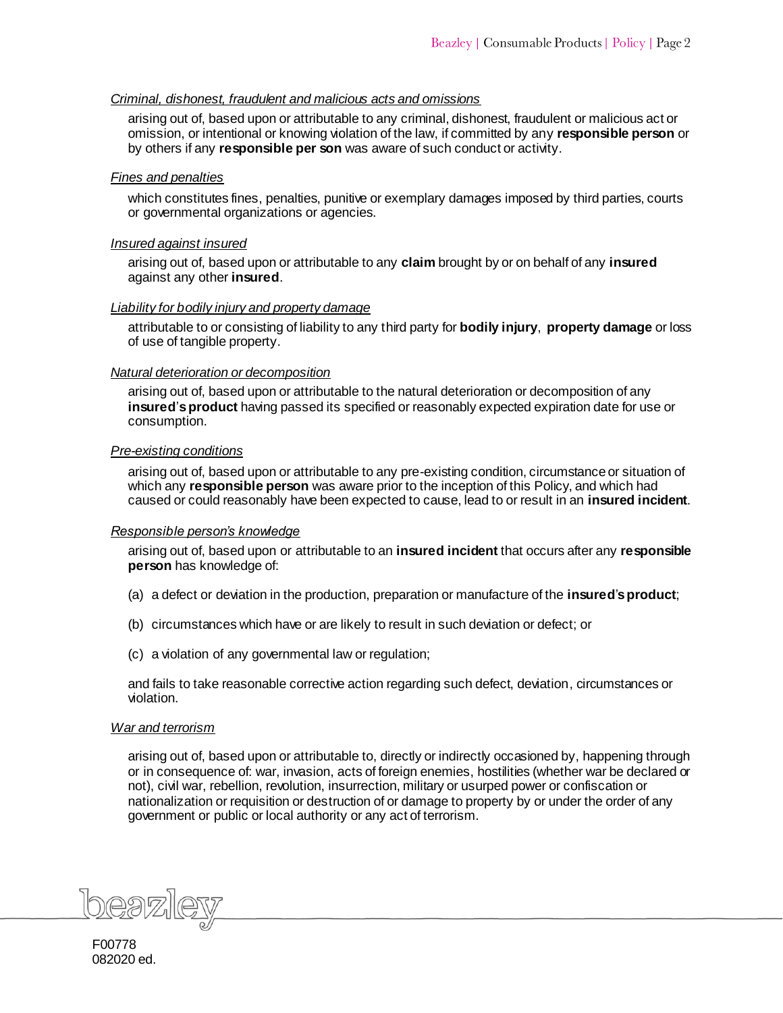# *Criminal, dishonest, fraudulent and malicious acts and omissions*

arising out of, based upon or attributable to any criminal, dishonest, fraudulent or malicious act or omission, or intentional or knowing violation of the law, if committed by any **responsible person** or by others if any **responsible per son** was aware of such conduct or activity.

### *Fines and penalties*

which constitutes fines, penalties, punitive or exemplary damages imposed by third parties, courts or governmental organizations or agencies.

### *Insured against insured*

arising out of, based upon or attributable to any **claim** brought by or on behalf of any **insured** against any other **insured**.

# *Liability for bodily injury and property damage*

attributable to or consisting of liability to any third party for **bodily injury**, **property damage** or loss of use of tangible property.

# *Natural deterioration or decomposition*

arising out of, based upon or attributable to the natural deterioration or decomposition of any **insured**'**s product** having passed its specified or reasonably expected expiration date for use or consumption.

#### *Pre-existing conditions*

arising out of, based upon or attributable to any pre-existing condition, circumstance or situation of which any **responsible person** was aware prior to the inception of this Policy, and which had caused or could reasonably have been expected to cause, lead to or result in an **insured incident**.

#### *Responsible person's knowledge*

arising out of, based upon or attributable to an **insured incident** that occurs after any **responsible person** has knowledge of:

- (a) a defect or deviation in the production, preparation or manufacture of the **insured**'**s product**;
- (b) circumstances which have or are likely to result in such deviation or defect; or
- (c) a violation of any governmental law or regulation;

and fails to take reasonable corrective action regarding such defect, deviation, circumstances or violation.

#### *War and terrorism*

arising out of, based upon or attributable to, directly or indirectly occasioned by, happening through or in consequence of: war, invasion, acts of foreign enemies, hostilities (whether war be declared or not), civil war, rebellion, revolution, insurrection, military or usurped power or confiscation or nationalization or requisition or destruction of or damage to property by or under the order of any government or public or local authority or any act of terrorism.

beazlev

F00778 082020 ed.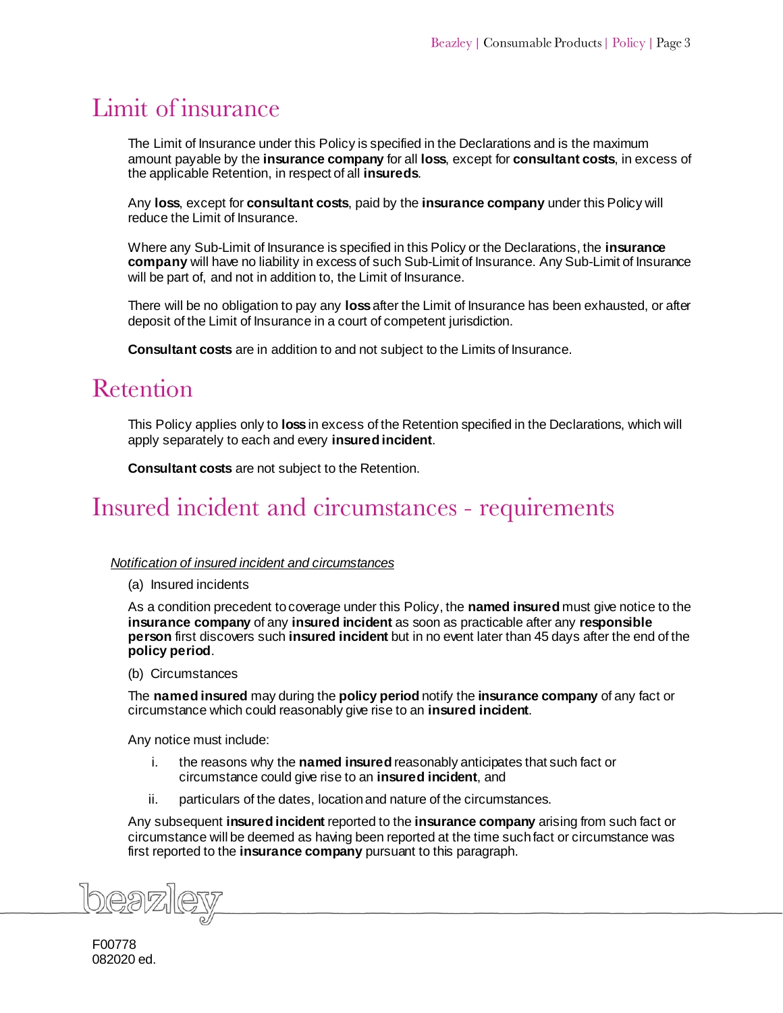# <span id="page-3-1"></span><span id="page-3-0"></span>Limit of insurance

The Limit of Insurance under this Policy is specified in the Declarations and is the maximum amount payable by the **insurance company** for all **loss**, except for **consultant costs**, in excess of the applicable Retention, in respect of all **insureds**.

Any **loss**, except for **consultant costs**, paid by the **insurance company** under this Policy will reduce the Limit of Insurance.

Where any Sub-Limit of Insurance is specified in this Policy or the Declarations, the **insurance company** will have no liability in excess of such Sub-Limit of Insurance. Any Sub-Limit of Insurance will be part of, and not in addition to, the Limit of Insurance.

There will be no obligation to pay any **loss** after the Limit of Insurance has been exhausted, or after deposit of the Limit of Insurance in a court of competent jurisdiction.

**Consultant costs** are in addition to and not subject to the Limits of Insurance.

# Retention

This Policy applies only to **loss** in excess of the Retention specified in the Declarations, which will apply separately to each and every **insured incident**.

**Consultant costs** are not subject to the Retention.

# <span id="page-3-2"></span>Insured incident and circumstances - requirements

#### *Notification of insured incident and circumstances*

(a) Insured incidents

As a condition precedent to coverage under this Policy, the **named insured** must give notice to the **insurance company** of any **insured incident** as soon as practicable after any **responsible person** first discovers such **insured incident** but in no event later than 45 days after the end of the **policy period**.

#### (b) Circumstances

The **named insured** may during the **policy period** notify the **insurance company** of any fact or circumstance which could reasonably give rise to an **insured incident**.

Any notice must include:

- i. the reasons why the **named insured** reasonably anticipates that such fact or circumstance could give rise to an **insured incident**, and
- ii. particulars of the dates, location and nature of the circumstances.

Any subsequent **insured incident** reported to the **insurance company** arising from such fact or circumstance will be deemed as having been reported at the time such fact or circumstance was first reported to the **insurance company** pursuant to this paragraph.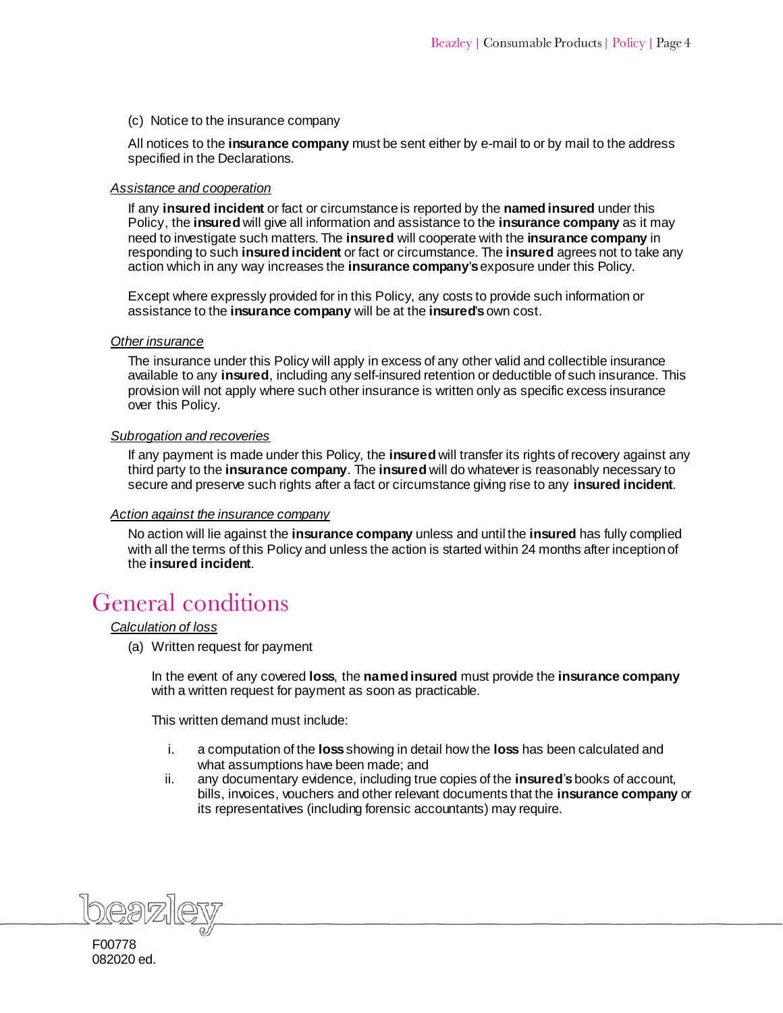(c) Notice to the insurance company

All notices to the **insurance company** must be sent either by e-mail to or by mail to the address specified in the Declarations.

#### *Assistance and cooperation*

If any **insured incident** or fact or circumstance is reported by the **named insured** under this Policy, the **insured** will give all information and assistance to the **insurance company** as it may need to investigate such matters. The **insured** will cooperate with the **insurance company** in responding to such **insured incident** or fact or circumstance. The **insured** agrees not to take any action which in any way increases the **insurance company**'**s**exposure under this Policy.

Except where expressly provided for in this Policy, any costs to provide such information or assistance to the **insurance company** will be at the **insured**'**s** own cost.

### *Other insurance*

The insurance under this Policy will apply in excess of any other valid and collectible insurance available to any **insured**, including any self-insured retention or deductible of such insurance. This provision will not apply where such other insurance is written only as specific excess insurance over this Policy.

#### *Subrogation and recoveries*

If any payment is made under this Policy, the **insured** will transfer its rights of recovery against any third party to the **insurance company**. The **insured** will do whatever is reasonably necessary to secure and preserve such rights after a fact or circumstance giving rise to any **insured incident**.

# *Action against the insurance company*

No action will lie against the **insurance company** unless and until the **insured** has fully complied with all the terms of this Policy and unless the action is started within 24 months after inception of the **insured incident**.

# <span id="page-4-0"></span>**General conditions**

#### *Calculation of loss*

(a) Written request for payment

In the event of any covered **loss**, the **named insured** must provide the **insurance company** with a written request for payment as soon as practicable.

This written demand must include:

- i. a computation of the **loss** showing in detail how the **loss** has been calculated and what assumptions have been made; and
- ii. any documentary evidence, including true copies of the **insured**'**s** books of account, bills, invoices, vouchers and other relevant documents that the **insurance company** or its representatives (including forensic accountants) may require.

F00778 082020 ed.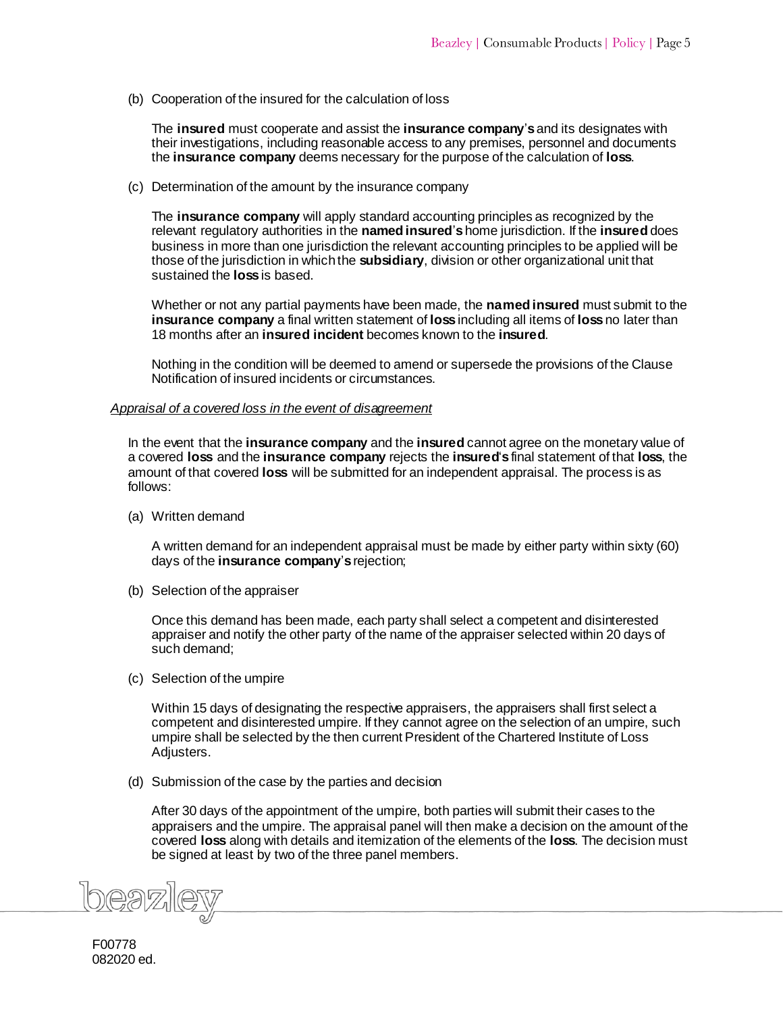(b) Cooperation of the insured for the calculation of loss

The **insured** must cooperate and assist the **insurance company**'**s** and its designates with their investigations, including reasonable access to any premises, personnel and documents the **insurance company** deems necessary for the purpose of the calculation of **loss**.

(c) Determination of the amount by the insurance company

The **insurance company** will apply standard accounting principles as recognized by the relevant regulatory authorities in the **named insured**'**s** home jurisdiction. If the **insured** does business in more than one jurisdiction the relevant accounting principles to be applied will be those of the jurisdiction in which the **subsidiary**, division or other organizational unit that sustained the **loss** is based.

Whether or not any partial payments have been made, the **named insured** must submit to the **insurance company** a final written statement of **loss** including all items of **loss** no later than 18 months after an **insured incident** becomes known to the **insured**.

Nothing in the condition will be deemed to amend or supersede the provisions of the Clause Notification of insured incidents or circumstances.

#### *Appraisal of a covered loss in the event of disagreement*

In the event that the **insurance company** and the **insured** cannot agree on the monetary value of a covered **loss** and the **insurance company** rejects the **insured**'**s** final statement of that **loss**, the amount of that covered **loss** will be submitted for an independent appraisal. The process is as follows:

(a) Written demand

A written demand for an independent appraisal must be made by either party within sixty (60) days of the **insurance company**'**s**rejection;

(b) Selection of the appraiser

Once this demand has been made, each party shall select a competent and disinterested appraiser and notify the other party of the name of the appraiser selected within 20 days of such demand;

(c) Selection of the umpire

Within 15 days of designating the respective appraisers, the appraisers shall first select a competent and disinterested umpire. If they cannot agree on the selection of an umpire, such umpire shall be selected by the then current President of the Chartered Institute of Loss Adjusters.

(d) Submission of the case by the parties and decision

After 30 days of the appointment of the umpire, both parties will submit their cases to the appraisers and the umpire. The appraisal panel will then make a decision on the amount of the covered **loss** along with details and itemization of the elements of the **loss**. The decision must be signed at least by two of the three panel members.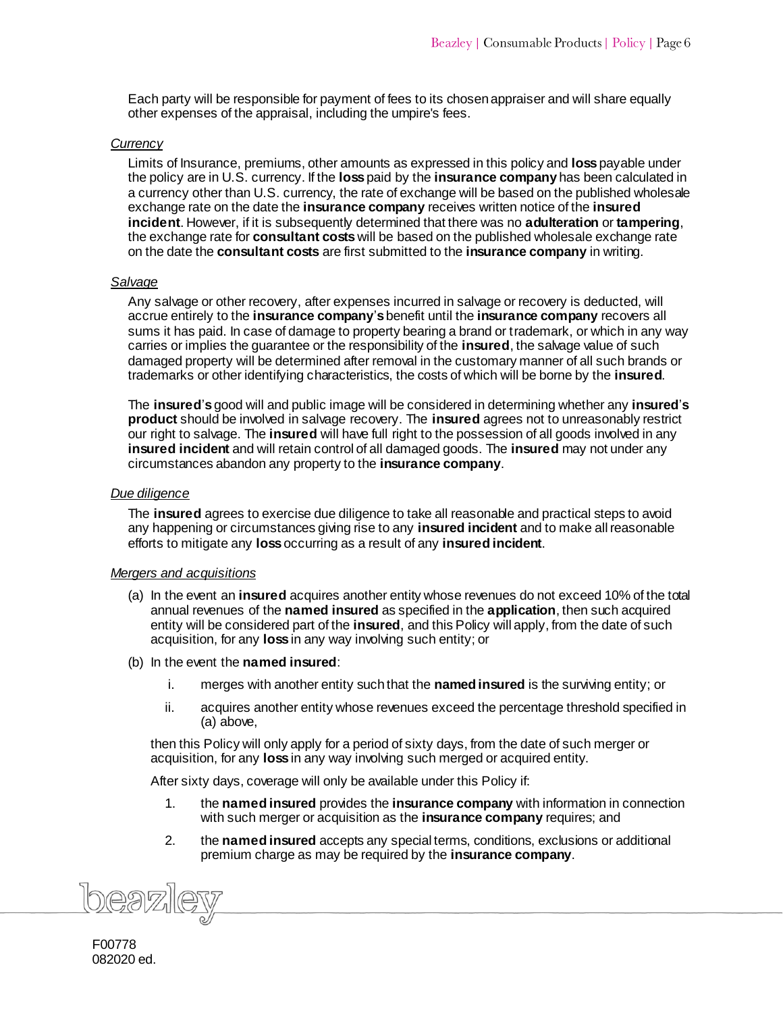Each party will be responsible for payment of fees to its chosen appraiser and will share equally other expenses of the appraisal, including the umpire's fees.

#### *Currency*

Limits of Insurance, premiums, other amounts as expressed in this policy and **loss** payable under the policy are in U.S. currency. If the **loss** paid by the **insurance company** has been calculated in a currency other than U.S. currency, the rate of exchange will be based on the published wholesale exchange rate on the date the **insurance company** receives written notice of the **insured incident**. However, if it is subsequently determined that there was no **adulteration** or **tampering**, the exchange rate for **consultant costs** will be based on the published wholesale exchange rate on the date the **consultant costs** are first submitted to the **insurance company** in writing.

#### *Salvage*

Any salvage or other recovery, after expenses incurred in salvage or recovery is deducted, will accrue entirely to the **insurance company**'**s** benefit until the **insurance company** recovers all sums it has paid. In case of damage to property bearing a brand or trademark, or which in any way carries or implies the guarantee or the responsibility of the **insured**, the salvage value of such damaged property will be determined after removal in the customary manner of all such brands or trademarks or other identifying characteristics, the costs of which will be borne by the **insured**.

The **insured**'**s** good will and public image will be considered in determining whether any **insured**'**s product** should be involved in salvage recovery. The **insured** agrees not to unreasonably restrict our right to salvage. The **insured** will have full right to the possession of all goods involved in any **insured incident** and will retain control of all damaged goods. The **insured** may not under any circumstances abandon any property to the **insurance company**.

### *Due diligence*

The **insured** agrees to exercise due diligence to take all reasonable and practical steps to avoid any happening or circumstances giving rise to any **insured incident** and to make all reasonable efforts to mitigate any **loss** occurring as a result of any **insured incident**.

#### *Mergers and acquisitions*

- (a) In the event an **insured** acquires another entity whose revenues do not exceed 10% of the total annual revenues of the **named insured** as specified in the **application**, then such acquired entity will be considered part of the **insured**, and this Policy will apply, from the date of such acquisition, for any **loss** in any way involving such entity; or
- (b) In the event the **named insured**:
	- i. merges with another entity such that the **named insured** is the surviving entity; or
	- ii. acquires another entity whose revenues exceed the percentage threshold specified in (a) above,

then this Policy will only apply for a period of sixty days, from the date of such merger or acquisition, for any **loss** in any way involving such merged or acquired entity.

After sixty days, coverage will only be available under this Policy if:

- 1. the **named insured** provides the **insurance company** with information in connection with such merger or acquisition as the **insurance company** requires; and
- 2. the **named insured** accepts any special terms, conditions, exclusions or additional premium charge as may be required by the **insurance company**.

39716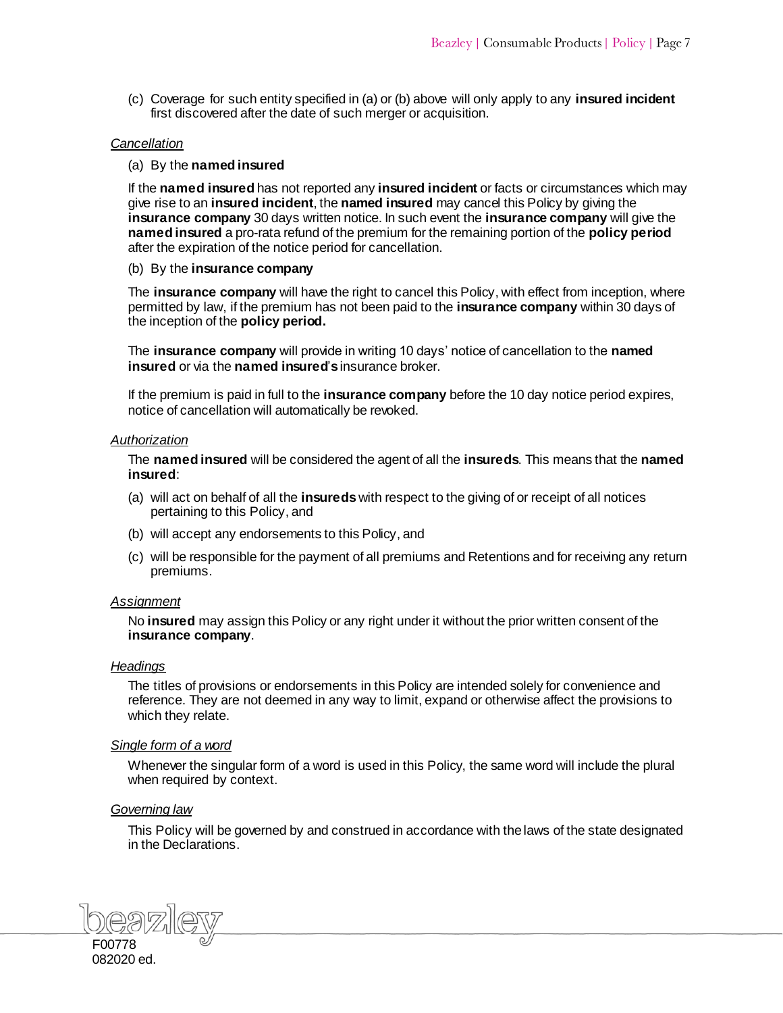(c) Coverage for such entity specified in (a) or (b) above will only apply to any **insured incident** first discovered after the date of such merger or acquisition.

# *Cancellation*

#### (a) By the **named insured**

If the **named insured** has not reported any **insured incident** or facts or circumstances which may give rise to an **insured incident**, the **named insured** may cancel this Policy by giving the **insurance company** 30 days written notice. In such event the **insurance company** will give the **named insured** a pro-rata refund of the premium for the remaining portion of the **policy period** after the expiration of the notice period for cancellation.

(b) By the **insurance company**

The **insurance company** will have the right to cancel this Policy, with effect from inception, where permitted by law, if the premium has not been paid to the **insurance company** within 30 days of the inception of the **policy period.**

The **insurance company** will provide in writing 10 days' notice of cancellation to the **named insured** or via the **named insured**'**s**insurance broker.

If the premium is paid in full to the **insurance company** before the 10 day notice period expires, notice of cancellation will automatically be revoked.

#### *Authorization*

The **named insured** will be considered the agent of all the **insureds**. This means that the **named insured**:

- (a) will act on behalf of all the **insureds** with respect to the giving of or receipt of all notices pertaining to this Policy, and
- (b) will accept any endorsements to this Policy, and
- (c) will be responsible for the payment of all premiums and Retentions and for receiving any return premiums.

#### *Assignment*

No **insured** may assign this Policy or any right under it without the prior written consent of the **insurance company**.

#### *Headings*

The titles of provisions or endorsements in this Policy are intended solely for convenience and reference. They are not deemed in any way to limit, expand or otherwise affect the provisions to which they relate.

#### *Single form of a word*

Whenever the singular form of a word is used in this Policy, the same word will include the plural when required by context.

#### *Governing law*

This Policy will be governed by and construed in accordance with the laws of the state designated in the Declarations.

F00778 082020 ed.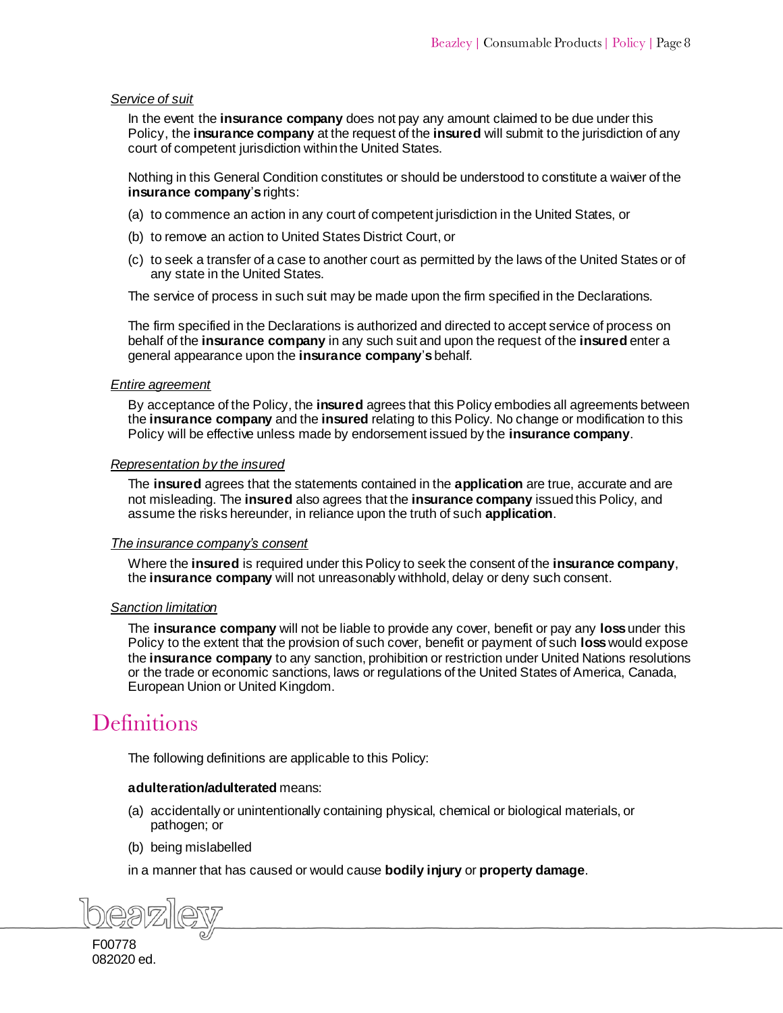#### *Service of suit*

In the event the **insurance company** does not pay any amount claimed to be due under this Policy, the **insurance company** at the request of the **insured** will submit to the jurisdiction of any court of competent jurisdiction within the United States.

Nothing in this General Condition constitutes or should be understood to constitute a waiver of the **insurance company**'**s** rights:

- (a) to commence an action in any court of competent jurisdiction in the United States, or
- (b) to remove an action to United States District Court, or
- (c) to seek a transfer of a case to another court as permitted by the laws of the United States or of any state in the United States.

The service of process in such suit may be made upon the firm specified in the Declarations.

The firm specified in the Declarations is authorized and directed to accept service of process on behalf of the **insurance company** in any such suit and upon the request of the **insured** enter a general appearance upon the **insurance company**'**s** behalf.

#### *Entire agreement*

By acceptance of the Policy, the **insured** agrees that this Policy embodies all agreements between the **insurance company** and the **insured** relating to this Policy. No change or modification to this Policy will be effective unless made by endorsement issued by the **insurance company**.

#### *Representation by the insured*

The **insured** agrees that the statements contained in the **application** are true, accurate and are not misleading. The **insured** also agrees that the **insurance company** issued this Policy, and assume the risks hereunder, in reliance upon the truth of such **application**.

#### *The insurance company's consent*

Where the **insured** is required under this Policy to seek the consent of the **insurance company**, the **insurance company** will not unreasonably withhold, delay or deny such consent.

#### *Sanction limitation*

The **insurance company** will not be liable to provide any cover, benefit or pay any **loss** under this Policy to the extent that the provision of such cover, benefit or payment of such **loss**would expose the **insurance company** to any sanction, prohibition or restriction under United Nations resolutions or the trade or economic sanctions, laws or regulations of the United States of America, Canada, European Union or United Kingdom.

# <span id="page-8-0"></span>**Definitions**

The following definitions are applicable to this Policy:

#### **adulteration/adulterated** means:

- (a) accidentally or unintentionally containin[g physical](https://www.lawinsider.com/dictionary/deleterious-substances), chemical or biological materials, or pathogen; or
- (b) being mislabelled

in a manner that has caused or would cause **bodily injury** or **property damage**.

F00778 082020 ed.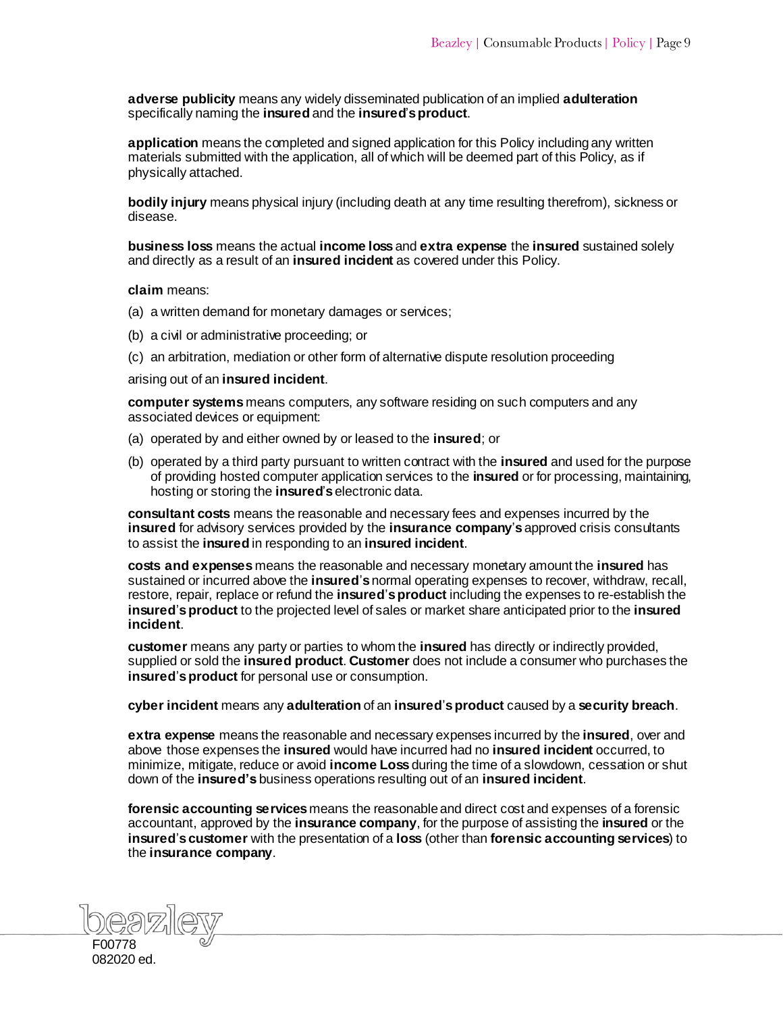**adverse publicity** means any widely disseminated publication of an implied **adulteration** specifically naming the **insured** and the **insured**'**sproduct**.

**application** means the completed and signed application for this Policy including any written materials submitted with the application, all of which will be deemed part of this Policy, as if physically attached.

**bodily injury** means physical injury (including death at any time resulting therefrom), sickness or disease.

**business loss** means the actual **income loss** and **extra expense** the **insured** sustained solely and directly as a result of an **insured incident** as covered under this Policy.

**claim** means:

- (a) a written demand for monetary damages or services;
- (b) a civil or administrative proceeding; or
- (c) an arbitration, mediation or other form of alternative dispute resolution proceeding

arising out of an **insured incident**.

**computer systems** means computers, any software residing on such computers and any associated devices or equipment:

- (a) operated by and either owned by or leased to the **insured**; or
- (b) operated by a third party pursuant to written contract with the **insured** and used for the purpose of providing hosted computer application services to the **insured** or for processing, maintaining, hosting or storing the **insured**'**s**electronic data.

**consultant costs** means the reasonable and necessary fees and expenses incurred by the **insured** for advisory services provided by the **insurance company**'**s** approved crisis consultants to assist the **insured** in responding to an **insured incident**.

**costs and expenses** means the reasonable and necessary monetary amount the **insured** has sustained or incurred above the **insured**'**s**normal operating expenses to recover, withdraw, recall, restore, repair, replace or refund the **insured**'**s product** including the expenses to re-establish the **insured**'**s product** to the projected level of sales or market share anticipated prior to the **insured incident**.

**customer** means any party or parties to whom the **insured** has directly or indirectly provided, supplied or sold the **insured product**. **Customer** does not include a consumer who purchases the **insured**'**s product** for personal use or consumption.

**cyber incident** means any **adulteration** of an **insured**'**s product** caused by a **security breach**.

**extra expense** means the reasonable and necessary expenses incurred by the **insured**, over and above those expenses the **insured** would have incurred had no **insured incident** occurred, to minimize, mitigate, reduce or avoid **income Loss** during the time of a slowdown, cessation or shut down of the **insured's** business operations resulting out of an **insured incident**.

**forensic accounting services** means the reasonable and direct cost and expenses of a forensic accountant, approved by the **insurance company**, for the purpose of assisting the **insured** or the **insured**'**scustomer** with the presentation of a **loss** (other than **forensic accounting services**) to the **insurance company**.

F00778 082020 ed.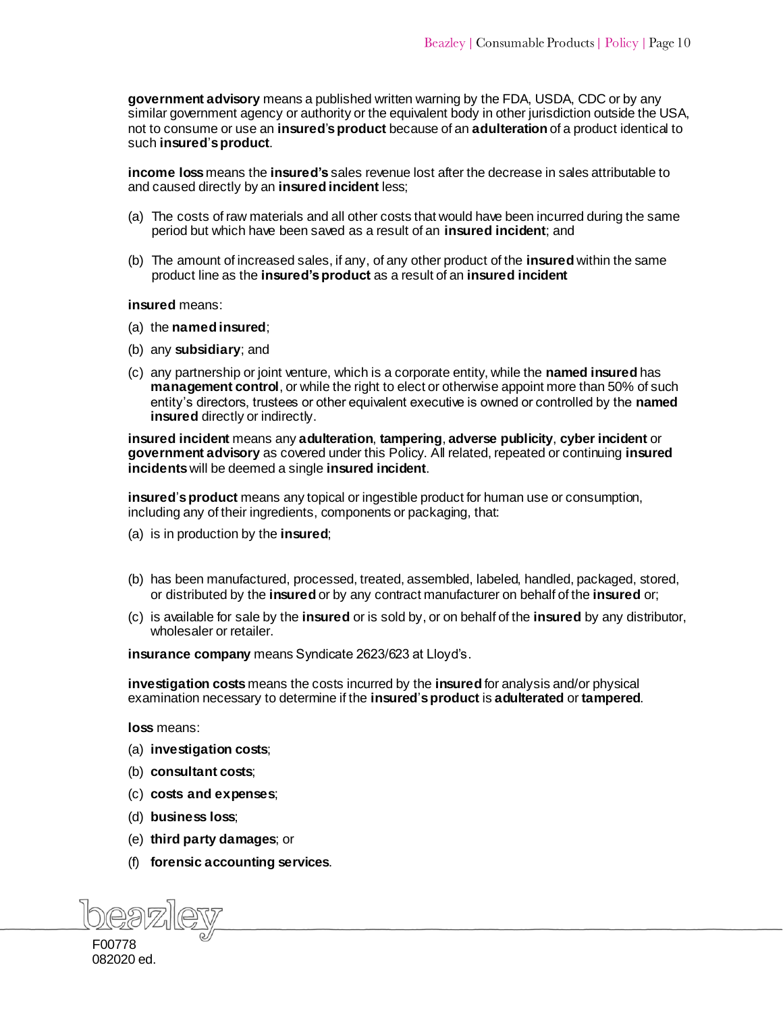**government advisory** means a published written warning by the FDA, USDA, CDC or by any similar government agency or authority or the equivalent body in other jurisdiction outside the USA, not to consume or use an **insured**'**s product** because of an **adulteration** of a product identical to such **insured**'**s product**.

**income loss** means the **insured's** sales revenue lost after the decrease in sales attributable to and caused directly by an **insured incident** less;

- (a) The costs of raw materials and all other costs that would have been incurred during the same period but which have been saved as a result of an **insured incident**; and
- (b) The amount of increased sales, if any, of any other product of the **insured** within the same product line as the **insured's product** as a result of an **insured incident**

#### **insured** means:

- (a) the **named insured**;
- (b) any **subsidiary**; and
- (c) any partnership or joint venture, which is a corporate entity, while the **named insured** has **management control**, or while the right to elect or otherwise appoint more than 50% of such entity's directors, trustees or other equivalent executive is owned or controlled by the **named insured** directly or indirectly.

**insured incident** means any **adulteration**, **tampering**, **adverse publicity**, **cyber incident** or **government advisory** as covered under this Policy. All related, repeated or continuing **insured incidents** will be deemed a single **insured incident**.

**insured**'**s product** means any topical or ingestible product for human use or consumption, including any of their ingredients, components or packaging, that:

- (a) is in production by the **insured**;
- (b) has been manufactured, processed, treated, assembled, labeled, handled, packaged, stored, or distributed by the **insured** or by any contract manufacturer on behalf of the **insured** or;
- (c) is available for sale by the **insured** or is sold by, or on behalf of the **insured** by any distributor, wholesaler or retailer.

**insurance company** means Syndicate 2623/623 at Lloyd's.

**investigation costs** means the costs incurred by the **insured** for analysis and/or physical examination necessary to determine if the **insured**'**s product** is **adulterated** or **tampered**.

**loss** means:

- (a) **investigation costs**;
- (b) **consultant costs**;
- (c) **costs and expenses**;
- (d) **business loss**;
- (e) **third party damages**; or
- (f) **forensic accounting services**.

F00778 082020 ed.